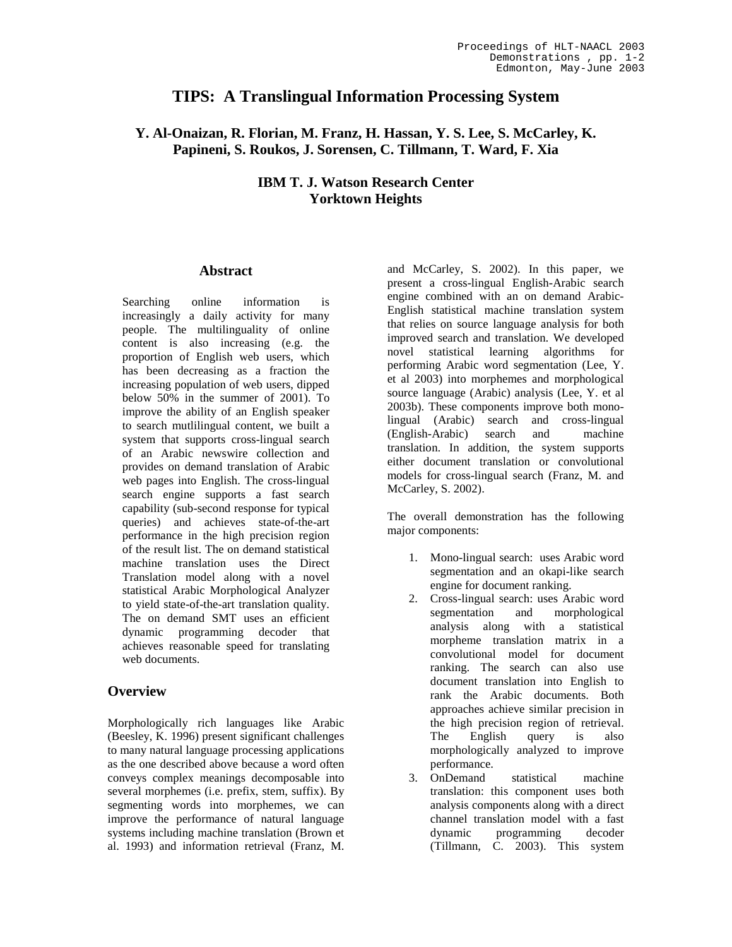# **TIPS: A Translingual Information Processing System**

## **Y. Al-Onaizan, R. Florian, M. Franz, H. Hassan, Y. S. Lee, S. McCarley, K. Papineni, S. Roukos, J. Sorensen, C. Tillmann, T. Ward, F. Xia**

## **IBM T. J. Watson Research Center Yorktown Heights**

### **Abstract**

Searching online information is increasingly a daily activity for many people. The multilinguality of online content is also increasing (e.g. the proportion of English web users, which has been decreasing as a fraction the increasing population of web users, dipped below 50% in the summer of 2001). To improve the ability of an English speaker to search mutlilingual content, we built a system that supports cross-lingual search of an Arabic newswire collection and provides on demand translation of Arabic web pages into English. The cross-lingual search engine supports a fast search capability (sub-second response for typical queries) and achieves state-of-the-art performance in the high precision region of the result list. The on demand statistical machine translation uses the Direct Translation model along with a novel statistical Arabic Morphological Analyzer to yield state-of-the-art translation quality. The on demand SMT uses an efficient dynamic programming decoder that achieves reasonable speed for translating web documents.

## **Overview**

Morphologically rich languages like Arabic (Beesley, K. 1996) present significant challenges to many natural language processing applications as the one described above because a word often conveys complex meanings decomposable into several morphemes (i.e. prefix, stem, suffix). By segmenting words into morphemes, we can improve the performance of natural language systems including machine translation (Brown et al. 1993) and information retrieval (Franz, M.

and McCarley, S. 2002). In this paper, we present a cross-lingual English-Arabic search engine combined with an on demand Arabic-English statistical machine translation system that relies on source language analysis for both improved search and translation. We developed novel statistical learning algorithms for performing Arabic word segmentation (Lee, Y. et al 2003) into morphemes and morphological source language (Arabic) analysis (Lee, Y. et al 2003b). These components improve both monolingual (Arabic) search and cross-lingual (English-Arabic) search and translation. In addition, the system supports either document translation or convolutional models for cross-lingual search (Franz, M. and McCarley, S. 2002).

The overall demonstration has the following major components:

- 1. Mono-lingual search: uses Arabic word segmentation and an okapi-like search engine for document ranking.
- 2. Cross-lingual search: uses Arabic word segmentation and morphological analysis along with a statistical morpheme translation matrix in a convolutional model for document ranking. The search can also use document translation into English to rank the Arabic documents. Both approaches achieve similar precision in the high precision region of retrieval. The English query is also morphologically analyzed to improve performance.
- 3. OnDemand statistical machine translation: this component uses both analysis components along with a direct channel translation model with a fast dynamic programming decoder (Tillmann, C. 2003). This system